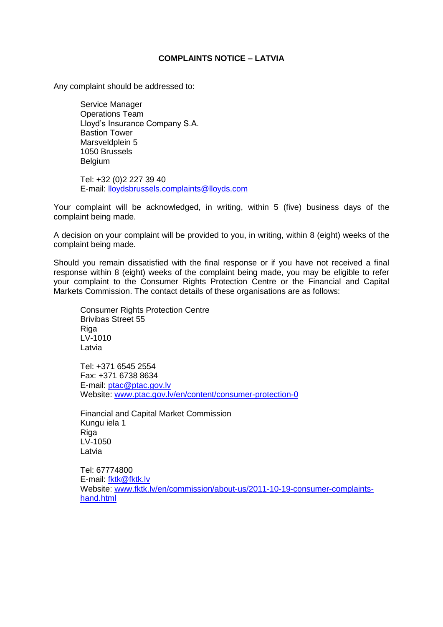## **COMPLAINTS NOTICE – LATVIA**

Any complaint should be addressed to:

Service Manager Operations Team Lloyd's Insurance Company S.A. Bastion Tower Marsveldplein 5 1050 Brussels Belgium

Tel: +32 (0)2 227 39 40 E-mail: lloydsbrussels.complaints@lloyds.com

Your complaint will be acknowledged, in writing, within 5 (five) business days of the complaint being made.

A decision on your complaint will be provided to you, in writing, within 8 (eight) weeks of the complaint being made.

Should you remain dissatisfied with the final response or if you have not received a final response within 8 (eight) weeks of the complaint being made, you may be eligible to refer your complaint to the Consumer Rights Protection Centre or the Financial and Capital Markets Commission. The contact details of these organisations are as follows:

Consumer Rights Protection Centre Brivibas Street 55 Riga LV-1010 Latvia

Tel: +371 6545 2554 Fax: +371 6738 8634 E-mail: [ptac@ptac.gov.lv](mailto:ptac@ptac.gov.lv) Website: [www.ptac.gov.lv/en/content/consumer-protection-0](http://www.ptac.gov.lv/en/content/consumer-protection-0)

Financial and Capital Market Commission Kungu iela 1 Riga LV-1050 Latvia

Tel: 67774800 E-mail: [fktk@fktk.lv](mailto:fktk@fktk.lv) Website: [www.fktk.lv/en/commission/about-us/2011-10-19-consumer-complaints](http://www.fktk.lv/en/commission/about-us/2011-10-19-consumer-complaints-hand.html)[hand.html](http://www.fktk.lv/en/commission/about-us/2011-10-19-consumer-complaints-hand.html)